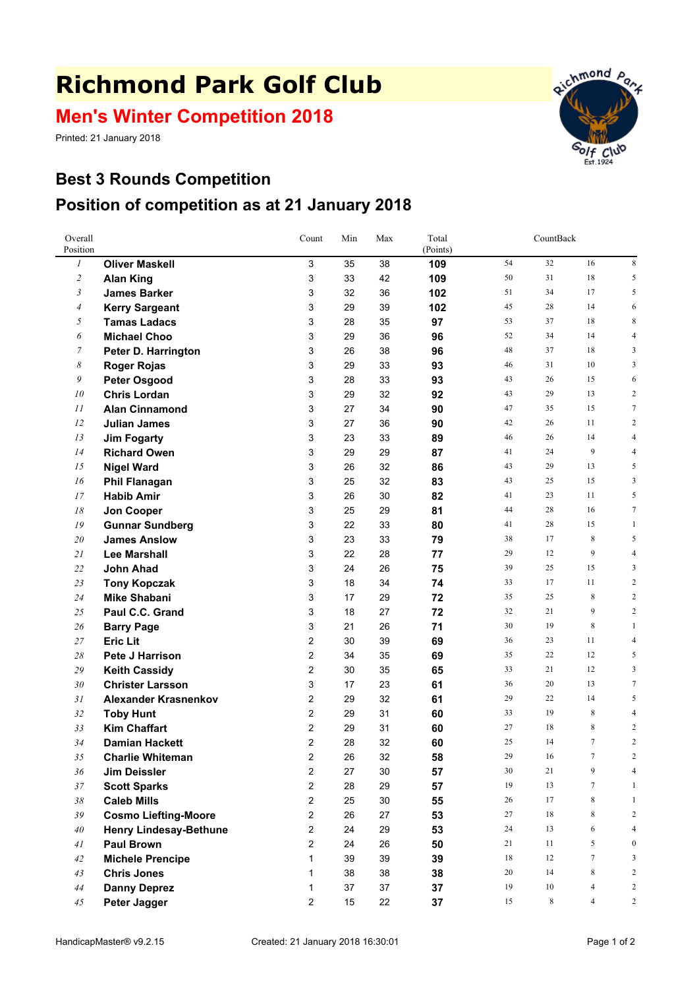## **Richmond Park Golf Club**

**Men's Winter Competition 2018**

Printed: 21 January 2018



## **Best 3 Rounds Competition Position of competition as at 21 January 2018**

| Overall<br>Position |                                                | Count               | Min      | Max      | Total<br>(Points) | CountBack |          |                |                                  |
|---------------------|------------------------------------------------|---------------------|----------|----------|-------------------|-----------|----------|----------------|----------------------------------|
| $\mathfrak{1}$      | <b>Oliver Maskell</b>                          | 3                   | 35       | 38       | 109               | 54        | 32       | 16             | $\,$ 8 $\,$                      |
| $\overline{c}$      | <b>Alan King</b>                               | 3                   | 33       | 42       | 109               | 50        | 31       | 18             | 5                                |
| 3                   | <b>James Barker</b>                            | 3                   | 32       | 36       | 102               | 51        | 34       | 17             | 5                                |
| 4                   | <b>Kerry Sargeant</b>                          | 3                   | 29       | 39       | 102               | 45        | 28       | 14             | 6                                |
| 5                   | <b>Tamas Ladacs</b>                            | 3                   | 28       | 35       | 97                | 53        | 37       | 18             | 8                                |
| 6                   | <b>Michael Choo</b>                            | 3                   | 29       | 36       | 96                | 52        | 34       | 14             | $\overline{4}$                   |
| $\overline{7}$      | Peter D. Harrington                            | 3                   | 26       | 38       | 96                | 48        | 37       | 18             | 3                                |
| 8                   | <b>Roger Rojas</b>                             | 3                   | 29       | 33       | 93                | 46        | 31       | 10             | 3                                |
| 9                   | <b>Peter Osgood</b>                            | 3                   | 28       | 33       | 93                | 43        | 26       | 15             | 6                                |
| 10                  | <b>Chris Lordan</b>                            | 3                   | 29       | 32       | 92                | 43        | 29       | 13             | $\overline{2}$                   |
| 11                  | <b>Alan Cinnamond</b>                          | 3                   | 27       | 34       | 90                | 47        | 35       | 15             | $7\phantom{.0}$                  |
| 12                  | <b>Julian James</b>                            | 3                   | 27       | 36       | 90                | 42        | 26       | 11             | $\overline{2}$                   |
| 13                  | <b>Jim Fogarty</b>                             | 3                   | 23       | 33       | 89                | 46        | 26       | 14             | $\overline{4}$                   |
| 14                  | <b>Richard Owen</b>                            | 3                   | 29       | 29       | 87                | 41        | 24       | 9              | $\overline{4}$                   |
| 15                  | <b>Nigel Ward</b>                              | 3                   | 26       | 32       | 86                | 43        | 29       | 13             | 5                                |
| 16                  | <b>Phil Flanagan</b>                           | 3                   | 25       | 32       | 83                | 43        | 25       | 15             | 3                                |
| 17                  | <b>Habib Amir</b>                              | 3                   | 26       | 30       | 82                | 41        | 23       | 11             | 5                                |
| 18                  | Jon Cooper                                     | 3                   | 25       | 29       | 81                | 44        | 28       | 16             | $\tau$                           |
| 19                  | <b>Gunnar Sundberg</b>                         | 3                   | 22       | 33       | 80                | 41        | 28       | 15             | $\mathbf{1}$                     |
| 20                  | <b>James Anslow</b>                            | 3                   | 23       | 33       | 79                | 38        | 17       | 8              | 5                                |
| 21                  | <b>Lee Marshall</b>                            | 3                   | 22       | 28       | 77                | 29        | 12       | 9              | $\overline{4}$                   |
| 22                  | <b>John Ahad</b>                               | 3                   | 24       | 26       | 75                | 39        | 25       | 15             | 3                                |
| 23                  | <b>Tony Kopczak</b>                            | 3                   | 18       | 34       | 74                | 33        | 17       | 11             | $\overline{2}$                   |
| 24                  | <b>Mike Shabani</b>                            | 3                   | 17       | 29       | 72                | 35        | 25       | 8              | $\overline{2}$                   |
| 25                  | Paul C.C. Grand                                | 3                   | 18       | 27       | 72                | 32        | 21       | 9              | $\sqrt{2}$                       |
| 26                  | <b>Barry Page</b>                              | 3                   | 21       | 26       | 71                | 30        | 19       | 8              | $\mathbf{1}$                     |
| 27                  | <b>Eric Lit</b>                                | 2                   | 30       | 39       | 69                | 36        | 23       | 11             | $\overline{4}$                   |
| 28                  | Pete J Harrison                                | 2                   | 34       | 35       | 69                | 35        | 22       | 12             | 5                                |
| 29                  | <b>Keith Cassidy</b>                           | 2                   | 30       | 35       | 65                | 33        | 21       | 12             | 3                                |
| 30                  | <b>Christer Larsson</b>                        | 3                   | 17       | 23       | 61                | 36        | 20       | 13             | $\overline{7}$                   |
| 31                  | <b>Alexander Krasnenkov</b>                    | 2                   | 29       | 32       | 61                | 29        | 22       | 14             | 5                                |
| 32                  | <b>Toby Hunt</b>                               | 2                   | 29       | 31       | 60                | 33        | 19<br>18 | 8<br>8         | $\overline{4}$                   |
| 33                  | <b>Kim Chaffart</b>                            | 2<br>$\overline{2}$ | 29       | 31       | 60                | 27<br>25  | 14       | 7              | $\overline{c}$<br>$\overline{2}$ |
| 34                  | <b>Damian Hackett</b>                          | $\mathfrak{p}$      | 28       | 32       | 60                | 29        | 16       | 7              | 2                                |
| 35<br>36            | <b>Charlie Whiteman</b><br><b>Jim Deissler</b> | 2                   | 26<br>27 | 32<br>30 | 58                | $30\,$    | 21       | 9              | $\overline{4}$                   |
| $37\,$              | <b>Scott Sparks</b>                            | 2                   | 28       | 29       | 57<br>57          | 19        | 13       | $\tau$         | $\mathbf{1}$                     |
| $38\,$              | <b>Caleb Mills</b>                             | $\overline{2}$      | 25       | 30       | 55                | 26        | 17       | 8              | $\mathbf{1}$                     |
| 39                  | <b>Cosmo Liefting-Moore</b>                    | 2                   | 26       | 27       | 53                | 27        | 18       | 8              | $\overline{c}$                   |
| 40                  | <b>Henry Lindesay-Bethune</b>                  | 2                   | 24       | 29       | 53                | 24        | 13       | 6              | $\overline{4}$                   |
| 41                  | <b>Paul Brown</b>                              | 2                   | 24       | 26       | 50                | 21        | 11       | 5              | $\boldsymbol{0}$                 |
| 42                  | <b>Michele Prencipe</b>                        | 1                   | 39       | 39       | 39                | 18        | 12       | $\tau$         | 3                                |
| 43                  | <b>Chris Jones</b>                             | 1                   | 38       | 38       | 38                | 20        | 14       | 8              | $\sqrt{2}$                       |
| 44                  | <b>Danny Deprez</b>                            | 1                   | 37       | 37       | 37                | 19        | 10       | $\overline{4}$ | $\overline{c}$                   |
| 45                  | Peter Jagger                                   | 2                   | 15       | 22       | 37                | 15        | 8        | $\overline{4}$ | $\overline{c}$                   |
|                     |                                                |                     |          |          |                   |           |          |                |                                  |